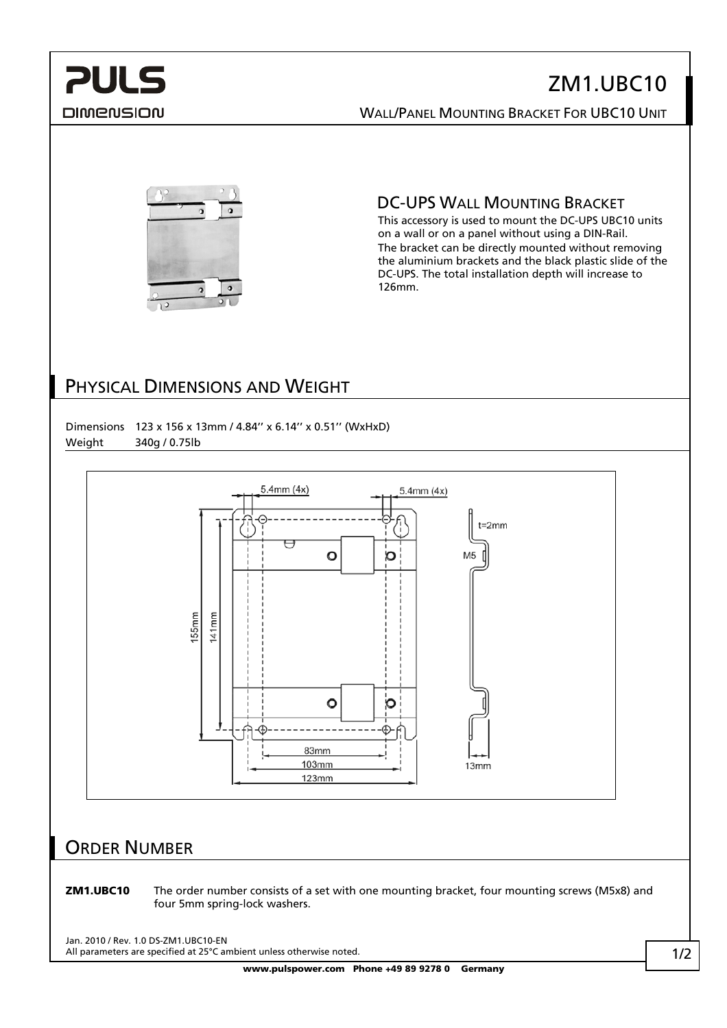# **PULS** DIMENSION

# ZM1.UBC10 WALL/PANEL MOUNTING BRACKET FOR UBC10 UNIT



DC-UPS WALL MOUNTING BRACKET

This accessory is used to mount the DC-UPS UBC10 units on a wall or on a panel without using a DIN-Rail. The bracket can be directly mounted without removing the aluminium brackets and the black plastic slide of the DC-UPS. The total installation depth will increase to 126mm.

## PHYSICAL DIMENSIONS AND WEIGHT



### ORDER NUMBER

ZM1.UBC10 The order number consists of a set with one mounting bracket, four mounting screws (M5x8) and four 5mm spring-lock washers.

Jan. 2010 / Rev. 1.0 DS-ZM1.UBC10-EN All parameters are specified at 25°C ambient unless otherwise noted.